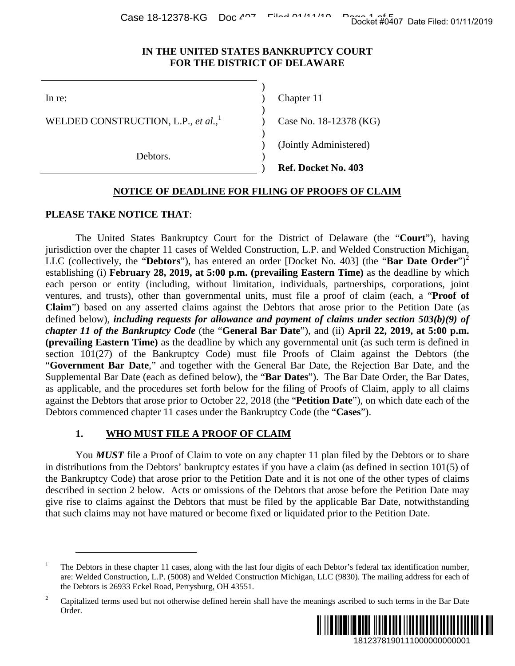Case 18-12378-KG Doc  $4^{0.7}$  Filed 01/11/2019

#### **IN THE UNITED STATES BANKRUPTCY COURT FOR THE DISTRICT OF DELAWARE**

 $\overline{\phantom{a}}$ 

 $\overline{\phantom{a}}$ WELDED CONSTRUCTION, L.P., *et al.*, 1

Debtors.

 $\overline{\phantom{a}}$ 

In re: (a) Chapter 11

Case No. 18-12378 (KG)

) (Jointly Administered)

) **Ref. Docket No. 403**

# **NOTICE OF DEADLINE FOR FILING OF PROOFS OF CLAIM**

)

#### **PLEASE TAKE NOTICE THAT**:

 $\overline{a}$ 

The United States Bankruptcy Court for the District of Delaware (the "**Court**"), having jurisdiction over the chapter 11 cases of Welded Construction, L.P. and Welded Construction Michigan, LLC (collectively, the "**Debtors**"), has entered an order [Docket No. 403] (the "**Bar Date Order**")<sup>2</sup> establishing (i) **February 28, 2019, at 5:00 p.m. (prevailing Eastern Time)** as the deadline by which each person or entity (including, without limitation, individuals, partnerships, corporations, joint ventures, and trusts), other than governmental units, must file a proof of claim (each, a "**Proof of Claim**") based on any asserted claims against the Debtors that arose prior to the Petition Date (as defined below), *including requests for allowance and payment of claims under section 503(b)(9) of chapter 11 of the Bankruptcy Code* (the "**General Bar Date**"), and (ii) **April 22, 2019, at 5:00 p.m. (prevailing Eastern Time)** as the deadline by which any governmental unit (as such term is defined in section 101(27) of the Bankruptcy Code) must file Proofs of Claim against the Debtors (the "**Government Bar Date**," and together with the General Bar Date, the Rejection Bar Date, and the Supplemental Bar Date (each as defined below), the "**Bar Dates**"). The Bar Date Order, the Bar Dates, as applicable, and the procedures set forth below for the filing of Proofs of Claim, apply to all claims against the Debtors that arose prior to October 22, 2018 (the "**Petition Date**"), on which date each of the Debtors commenced chapter 11 cases under the Bankruptcy Code (the "**Cases**"). Docket #0407 Date Filed: 01/11/2019<br>
URT<br>
URT<br>
URT<br>
2019<br>
2019<br>
2019<br>
2019<br>
2019<br>
2019<br>
2019<br>
2019<br>
2019 (the "Bar Date Order")<sup>2</sup><br>
21<br>
21 (the "Bar Date Dredine by which<br>
one perior of the Petition Date (as<br> *under sceti* 

# **1. WHO MUST FILE A PROOF OF CLAIM**

You **MUST** file a Proof of Claim to vote on any chapter 11 plan filed by the Debtors or to share in distributions from the Debtors' bankruptcy estates if you have a claim (as defined in section 101(5) of the Bankruptcy Code) that arose prior to the Petition Date and it is not one of the other types of claims described in section 2 below. Acts or omissions of the Debtors that arose before the Petition Date may give rise to claims against the Debtors that must be filed by the applicable Bar Date, notwithstanding that such claims may not have matured or become fixed or liquidated prior to the Petition Date.

<sup>2</sup> Capitalized terms used but not otherwise defined herein shall have the meanings ascribed to such terms in the Bar Date Order.



<sup>1</sup> The Debtors in these chapter 11 cases, along with the last four digits of each Debtor's federal tax identification number, are: Welded Construction, L.P. (5008) and Welded Construction Michigan, LLC (9830). The mailing address for each of the Debtors is 26933 Eckel Road, Perrysburg, OH 43551.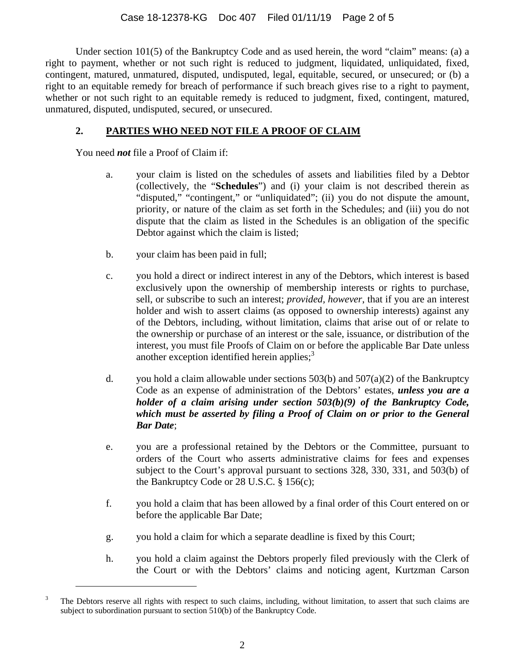Under section 101(5) of the Bankruptcy Code and as used herein, the word "claim" means: (a) a right to payment, whether or not such right is reduced to judgment, liquidated, unliquidated, fixed, contingent, matured, unmatured, disputed, undisputed, legal, equitable, secured, or unsecured; or (b) a right to an equitable remedy for breach of performance if such breach gives rise to a right to payment, whether or not such right to an equitable remedy is reduced to judgment, fixed, contingent, matured, unmatured, disputed, undisputed, secured, or unsecured.

# **2. PARTIES WHO NEED NOT FILE A PROOF OF CLAIM**

You need *not* file a Proof of Claim if:

 $\overline{a}$ 

- a. your claim is listed on the schedules of assets and liabilities filed by a Debtor (collectively, the "**Schedules**") and (i) your claim is not described therein as "disputed," "contingent," or "unliquidated"; (ii) you do not dispute the amount, priority, or nature of the claim as set forth in the Schedules; and (iii) you do not dispute that the claim as listed in the Schedules is an obligation of the specific Debtor against which the claim is listed;
- b. your claim has been paid in full;
- c. you hold a direct or indirect interest in any of the Debtors, which interest is based exclusively upon the ownership of membership interests or rights to purchase, sell, or subscribe to such an interest; *provided, however*, that if you are an interest holder and wish to assert claims (as opposed to ownership interests) against any of the Debtors, including, without limitation, claims that arise out of or relate to the ownership or purchase of an interest or the sale, issuance, or distribution of the interest, you must file Proofs of Claim on or before the applicable Bar Date unless another exception identified herein applies; $3<sup>3</sup>$
- d. you hold a claim allowable under sections 503(b) and 507(a)(2) of the Bankruptcy Code as an expense of administration of the Debtors' estates, *unless you are a holder of a claim arising under section 503(b)(9) of the Bankruptcy Code, which must be asserted by filing a Proof of Claim on or prior to the General Bar Date*;
- e. you are a professional retained by the Debtors or the Committee, pursuant to orders of the Court who asserts administrative claims for fees and expenses subject to the Court's approval pursuant to sections 328, 330, 331, and 503(b) of the Bankruptcy Code or 28 U.S.C. § 156(c);
- f. you hold a claim that has been allowed by a final order of this Court entered on or before the applicable Bar Date;
- g. you hold a claim for which a separate deadline is fixed by this Court;
- h. you hold a claim against the Debtors properly filed previously with the Clerk of the Court or with the Debtors' claims and noticing agent, Kurtzman Carson

<sup>3</sup> The Debtors reserve all rights with respect to such claims, including, without limitation, to assert that such claims are subject to subordination pursuant to section 510(b) of the Bankruptcy Code.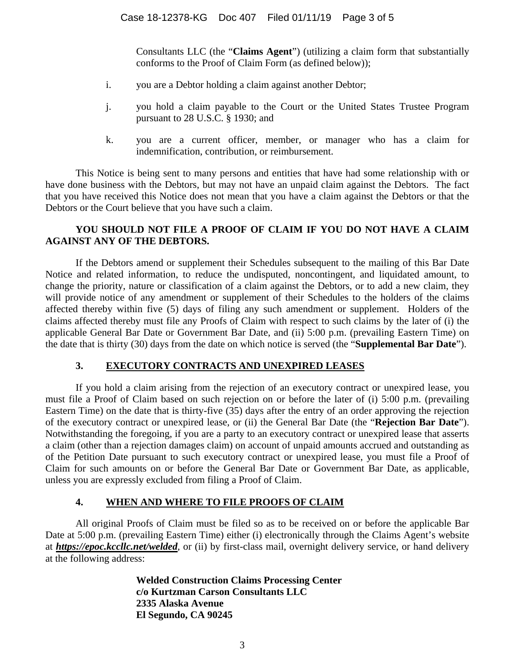Consultants LLC (the "**Claims Agent**") (utilizing a claim form that substantially conforms to the Proof of Claim Form (as defined below));

- i. you are a Debtor holding a claim against another Debtor;
- j. you hold a claim payable to the Court or the United States Trustee Program pursuant to 28 U.S.C. § 1930; and
- k. you are a current officer, member, or manager who has a claim for indemnification, contribution, or reimbursement.

This Notice is being sent to many persons and entities that have had some relationship with or have done business with the Debtors, but may not have an unpaid claim against the Debtors. The fact that you have received this Notice does not mean that you have a claim against the Debtors or that the Debtors or the Court believe that you have such a claim.

# **YOU SHOULD NOT FILE A PROOF OF CLAIM IF YOU DO NOT HAVE A CLAIM AGAINST ANY OF THE DEBTORS.**

If the Debtors amend or supplement their Schedules subsequent to the mailing of this Bar Date Notice and related information, to reduce the undisputed, noncontingent, and liquidated amount, to change the priority, nature or classification of a claim against the Debtors, or to add a new claim, they will provide notice of any amendment or supplement of their Schedules to the holders of the claims affected thereby within five (5) days of filing any such amendment or supplement. Holders of the claims affected thereby must file any Proofs of Claim with respect to such claims by the later of (i) the applicable General Bar Date or Government Bar Date, and (ii) 5:00 p.m. (prevailing Eastern Time) on the date that is thirty (30) days from the date on which notice is served (the "**Supplemental Bar Date**").

# **3. EXECUTORY CONTRACTS AND UNEXPIRED LEASES**

If you hold a claim arising from the rejection of an executory contract or unexpired lease, you must file a Proof of Claim based on such rejection on or before the later of (i) 5:00 p.m. (prevailing Eastern Time) on the date that is thirty-five (35) days after the entry of an order approving the rejection of the executory contract or unexpired lease, or (ii) the General Bar Date (the "**Rejection Bar Date**"). Notwithstanding the foregoing, if you are a party to an executory contract or unexpired lease that asserts a claim (other than a rejection damages claim) on account of unpaid amounts accrued and outstanding as of the Petition Date pursuant to such executory contract or unexpired lease, you must file a Proof of Claim for such amounts on or before the General Bar Date or Government Bar Date, as applicable, unless you are expressly excluded from filing a Proof of Claim.

# **4. WHEN AND WHERE TO FILE PROOFS OF CLAIM**

All original Proofs of Claim must be filed so as to be received on or before the applicable Bar Date at 5:00 p.m. (prevailing Eastern Time) either (i) electronically through the Claims Agent's website at *https://epoc.kccllc.net/welded*, or (ii) by first-class mail, overnight delivery service, or hand delivery at the following address:

> **Welded Construction Claims Processing Center c/o Kurtzman Carson Consultants LLC 2335 Alaska Avenue El Segundo, CA 90245**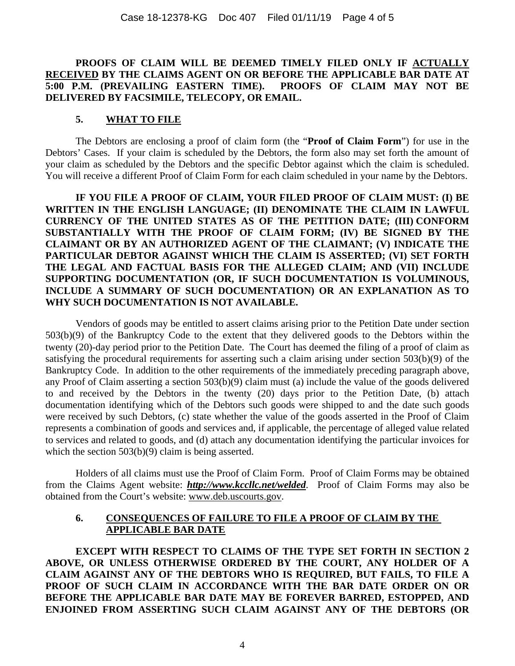## **PROOFS OF CLAIM WILL BE DEEMED TIMELY FILED ONLY IF ACTUALLY RECEIVED BY THE CLAIMS AGENT ON OR BEFORE THE APPLICABLE BAR DATE AT 5:00 P.M. (PREVAILING EASTERN TIME). PROOFS OF CLAIM MAY NOT BE DELIVERED BY FACSIMILE, TELECOPY, OR EMAIL.**

### **5. WHAT TO FILE**

The Debtors are enclosing a proof of claim form (the "**Proof of Claim Form**") for use in the Debtors' Cases. If your claim is scheduled by the Debtors, the form also may set forth the amount of your claim as scheduled by the Debtors and the specific Debtor against which the claim is scheduled. You will receive a different Proof of Claim Form for each claim scheduled in your name by the Debtors.

**IF YOU FILE A PROOF OF CLAIM, YOUR FILED PROOF OF CLAIM MUST: (I) BE WRITTEN IN THE ENGLISH LANGUAGE; (II) DENOMINATE THE CLAIM IN LAWFUL CURRENCY OF THE UNITED STATES AS OF THE PETITION DATE; (III) CONFORM SUBSTANTIALLY WITH THE PROOF OF CLAIM FORM; (IV) BE SIGNED BY THE CLAIMANT OR BY AN AUTHORIZED AGENT OF THE CLAIMANT; (V) INDICATE THE PARTICULAR DEBTOR AGAINST WHICH THE CLAIM IS ASSERTED; (VI) SET FORTH THE LEGAL AND FACTUAL BASIS FOR THE ALLEGED CLAIM; AND (VII) INCLUDE SUPPORTING DOCUMENTATION (OR, IF SUCH DOCUMENTATION IS VOLUMINOUS, INCLUDE A SUMMARY OF SUCH DOCUMENTATION) OR AN EXPLANATION AS TO WHY SUCH DOCUMENTATION IS NOT AVAILABLE.** 

Vendors of goods may be entitled to assert claims arising prior to the Petition Date under section 503(b)(9) of the Bankruptcy Code to the extent that they delivered goods to the Debtors within the twenty (20)-day period prior to the Petition Date. The Court has deemed the filing of a proof of claim as satisfying the procedural requirements for asserting such a claim arising under section 503(b)(9) of the Bankruptcy Code. In addition to the other requirements of the immediately preceding paragraph above, any Proof of Claim asserting a section 503(b)(9) claim must (a) include the value of the goods delivered to and received by the Debtors in the twenty (20) days prior to the Petition Date, (b) attach documentation identifying which of the Debtors such goods were shipped to and the date such goods were received by such Debtors, (c) state whether the value of the goods asserted in the Proof of Claim represents a combination of goods and services and, if applicable, the percentage of alleged value related to services and related to goods, and (d) attach any documentation identifying the particular invoices for which the section 503(b)(9) claim is being asserted.

Holders of all claims must use the Proof of Claim Form. Proof of Claim Forms may be obtained from the Claims Agent website: *http://www.kccllc.net/welded*. Proof of Claim Forms may also be obtained from the Court's website: www.deb.uscourts.gov.

## **6. CONSEQUENCES OF FAILURE TO FILE A PROOF OF CLAIM BY THE APPLICABLE BAR DATE**

**EXCEPT WITH RESPECT TO CLAIMS OF THE TYPE SET FORTH IN SECTION 2 ABOVE, OR UNLESS OTHERWISE ORDERED BY THE COURT, ANY HOLDER OF A CLAIM AGAINST ANY OF THE DEBTORS WHO IS REQUIRED, BUT FAILS, TO FILE A PROOF OF SUCH CLAIM IN ACCORDANCE WITH THE BAR DATE ORDER ON OR BEFORE THE APPLICABLE BAR DATE MAY BE FOREVER BARRED, ESTOPPED, AND ENJOINED FROM ASSERTING SUCH CLAIM AGAINST ANY OF THE DEBTORS (OR**